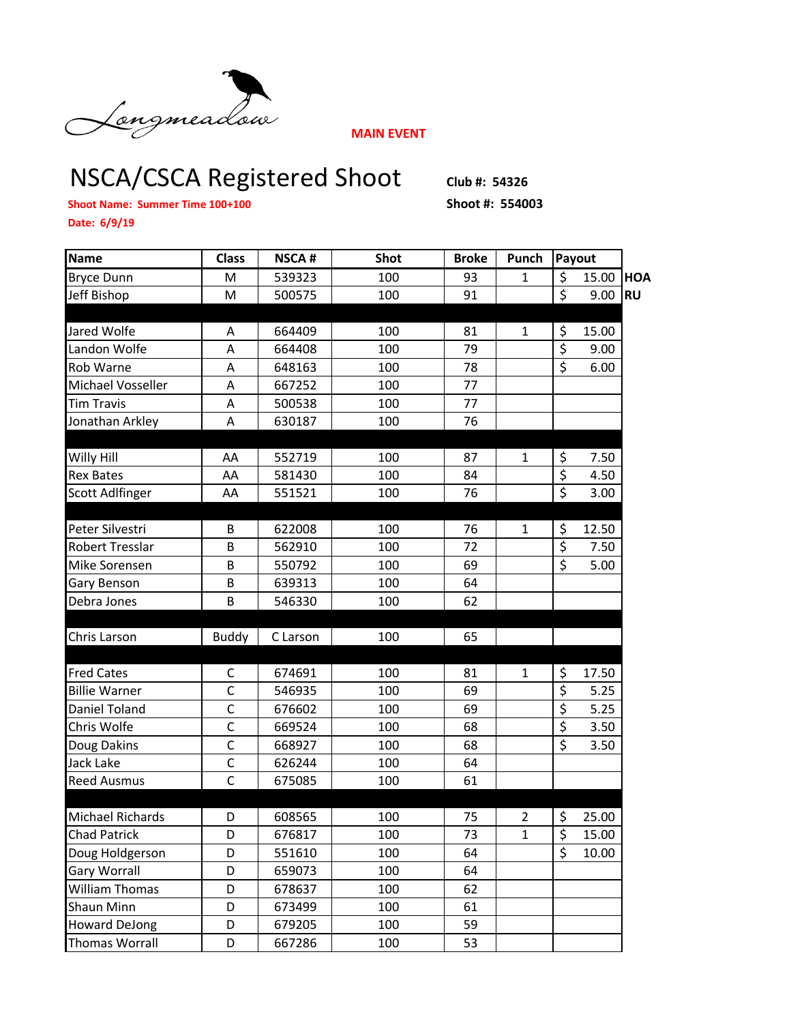

**MAIN EVENT**

## NSCA/CSCA Registered Shoot **Club #: 54326**

**Shoot Name: Summer Time 100+100 Shoot #: 554003**

**Date: 6/9/19**

| Name                    | <b>Class</b>   | <b>NSCA#</b> | Shot | <b>Broke</b> | Punch          | Payout           |       |            |
|-------------------------|----------------|--------------|------|--------------|----------------|------------------|-------|------------|
| <b>Bryce Dunn</b>       | M              | 539323       | 100  | 93           | $\mathbf{1}$   | \$               | 15.00 | <b>HOA</b> |
| Jeff Bishop             | M              | 500575       | 100  | 91           |                | \$               | 9.00  | <b>RU</b>  |
|                         |                |              |      |              |                |                  |       |            |
| Jared Wolfe             | A              | 664409       | 100  | 81           | 1              | \$               | 15.00 |            |
| Landon Wolfe            | A              | 664408       | 100  | 79           |                | \$               | 9.00  |            |
| Rob Warne               | A              | 648163       | 100  | 78           |                | $\overline{\xi}$ | 6.00  |            |
| Michael Vosseller       | A              | 667252       | 100  | 77           |                |                  |       |            |
| <b>Tim Travis</b>       | Α              | 500538       | 100  | 77           |                |                  |       |            |
| Jonathan Arkley         | A              | 630187       | 100  | 76           |                |                  |       |            |
|                         |                |              |      |              |                |                  |       |            |
| Willy Hill              | AA             | 552719       | 100  | 87           | $\mathbf{1}$   | \$               | 7.50  |            |
| <b>Rex Bates</b>        | AA             | 581430       | 100  | 84           |                | \$               | 4.50  |            |
| <b>Scott Adlfinger</b>  | AA             | 551521       | 100  | 76           |                | $\overline{\xi}$ | 3.00  |            |
|                         |                |              |      |              |                |                  |       |            |
| Peter Silvestri         | B              | 622008       | 100  | 76           | $\mathbf{1}$   | \$               | 12.50 |            |
| Robert Tresslar         | B              | 562910       | 100  | 72           |                | \$               | 7.50  |            |
| Mike Sorensen           | B              | 550792       | 100  | 69           |                | $\overline{\xi}$ | 5.00  |            |
| Gary Benson             | B              | 639313       | 100  | 64           |                |                  |       |            |
| Debra Jones             | B              | 546330       | 100  | 62           |                |                  |       |            |
| Chris Larson            |                | C Larson     | 100  | 65           |                |                  |       |            |
|                         | <b>Buddy</b>   |              |      |              |                |                  |       |            |
| <b>Fred Cates</b>       | $\mathsf C$    | 674691       | 100  | 81           | 1              | \$               | 17.50 |            |
| <b>Billie Warner</b>    | $\mathsf C$    | 546935       | 100  | 69           |                | \$               | 5.25  |            |
| Daniel Toland           | $\mathsf{C}$   | 676602       | 100  | 69           |                | \$               | 5.25  |            |
| Chris Wolfe             | $\overline{C}$ | 669524       | 100  | 68           |                | $\overline{\xi}$ | 3.50  |            |
| Doug Dakins             | $\mathsf C$    | 668927       | 100  | 68           |                | \$               | 3.50  |            |
| Jack Lake               | $\mathsf C$    | 626244       | 100  | 64           |                |                  |       |            |
| <b>Reed Ausmus</b>      | $\overline{C}$ | 675085       | 100  | 61           |                |                  |       |            |
|                         |                |              |      |              |                |                  |       |            |
| <b>Michael Richards</b> | D              | 608565       | 100  | 75           | $\overline{2}$ | \$               | 25.00 |            |
| <b>Chad Patrick</b>     | D              | 676817       | 100  | 73           | 1              | \$               | 15.00 |            |
| Doug Holdgerson         | D              | 551610       | 100  | 64           |                | \$               | 10.00 |            |
| <b>Gary Worrall</b>     | D              | 659073       | 100  | 64           |                |                  |       |            |
| William Thomas          | D              | 678637       | 100  | 62           |                |                  |       |            |
| Shaun Minn              | D              | 673499       | 100  | 61           |                |                  |       |            |
| <b>Howard DeJong</b>    | D              | 679205       | 100  | 59           |                |                  |       |            |
| <b>Thomas Worrall</b>   | D              | 667286       | 100  | 53           |                |                  |       |            |